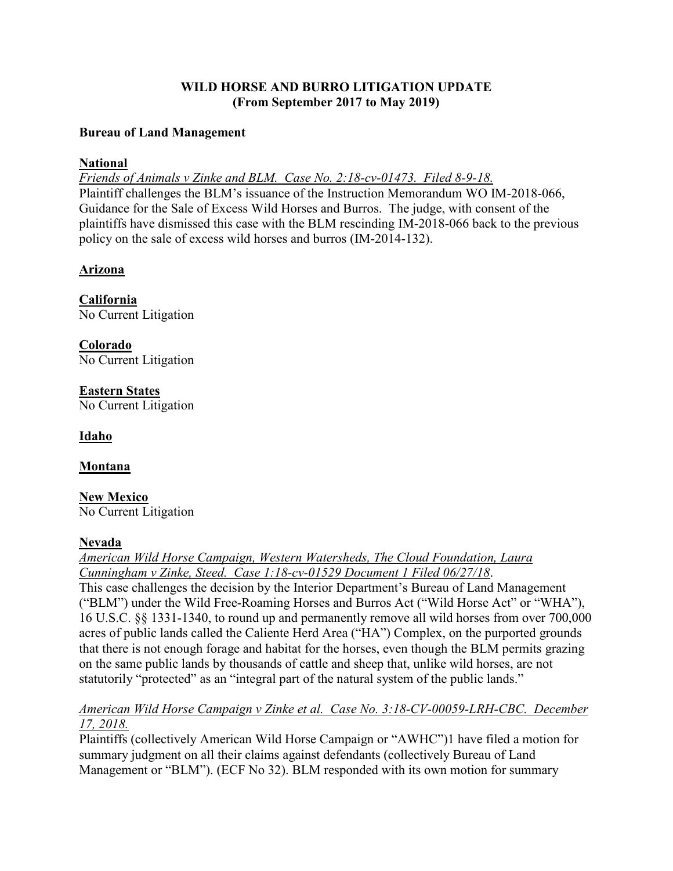# **WILD HORSE AND BURRO LITIGATION UPDATE (From September 2017 to May 2019)**

#### **Bureau of Land Management**

## **National**

*Friends of Animals v Zinke and BLM. Case No. 2:18-cv-01473. Filed 8-9-18.*  Plaintiff challenges the BLM's issuance of the Instruction Memorandum WO IM-2018-066, Guidance for the Sale of Excess Wild Horses and Burros. The judge, with consent of the plaintiffs have dismissed this case with the BLM rescinding IM-2018-066 back to the previous policy on the sale of excess wild horses and burros (IM-2014-132).

# **Arizona**

**California** No Current Litigation

**Colorado** No Current Litigation

**Eastern States** No Current Litigation

**Idaho**

# **Montana**

**New Mexico** No Current Litigation

# **Nevada**

*American Wild Horse Campaign, Western Watersheds, The Cloud Foundation, Laura Cunningham v Zinke, Steed. Case 1:18-cv-01529 Document 1 Filed 06/27/18*. This case challenges the decision by the Interior Department's Bureau of Land Management ("BLM") under the Wild Free-Roaming Horses and Burros Act ("Wild Horse Act" or "WHA"), 16 U.S.C. §§ 1331-1340, to round up and permanently remove all wild horses from over 700,000 acres of public lands called the Caliente Herd Area ("HA") Complex, on the purported grounds that there is not enough forage and habitat for the horses, even though the BLM permits grazing on the same public lands by thousands of cattle and sheep that, unlike wild horses, are not statutorily "protected" as an "integral part of the natural system of the public lands."

#### *American Wild Horse Campaign v Zinke et al. Case No. 3:18-CV-00059-LRH-CBC. December 17, 2018.*

Plaintiffs (collectively American Wild Horse Campaign or "AWHC")1 have filed a motion for summary judgment on all their claims against defendants (collectively Bureau of Land Management or "BLM"). (ECF No 32). BLM responded with its own motion for summary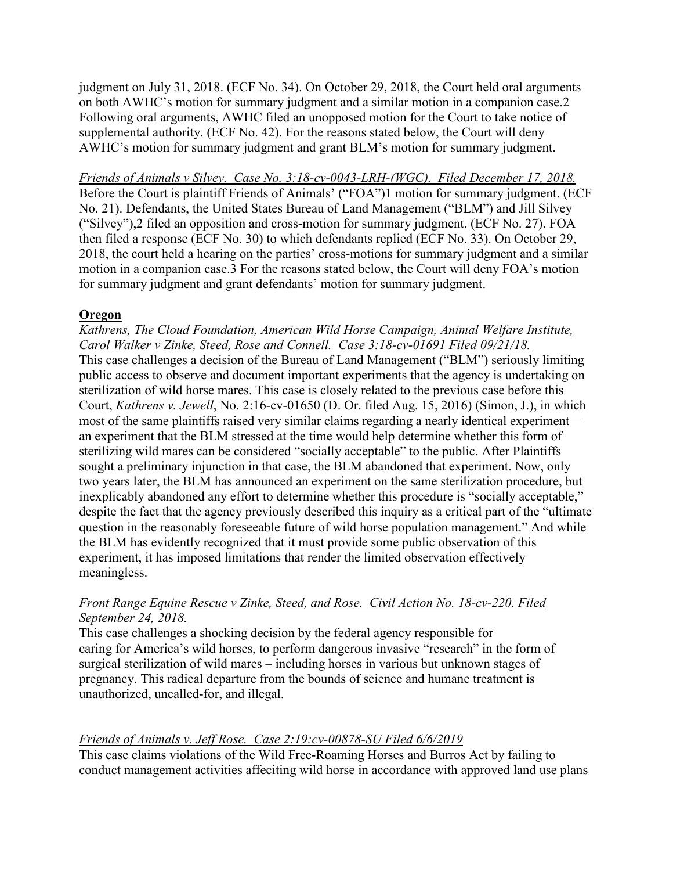judgment on July 31, 2018. (ECF No. 34). On October 29, 2018, the Court held oral arguments on both AWHC's motion for summary judgment and a similar motion in a companion case.2 Following oral arguments, AWHC filed an unopposed motion for the Court to take notice of supplemental authority. (ECF No. 42). For the reasons stated below, the Court will deny AWHC's motion for summary judgment and grant BLM's motion for summary judgment.

*Friends of Animals v Silvey. Case No. 3:18-cv-0043-LRH-(WGC). Filed December 17, 2018.* Before the Court is plaintiff Friends of Animals' ("FOA")1 motion for summary judgment. (ECF No. 21). Defendants, the United States Bureau of Land Management ("BLM") and Jill Silvey ("Silvey"),2 filed an opposition and cross-motion for summary judgment. (ECF No. 27). FOA then filed a response (ECF No. 30) to which defendants replied (ECF No. 33). On October 29, 2018, the court held a hearing on the parties' cross-motions for summary judgment and a similar motion in a companion case.3 For the reasons stated below, the Court will deny FOA's motion for summary judgment and grant defendants' motion for summary judgment.

#### **Oregon**

*Kathrens, The Cloud Foundation, American Wild Horse Campaign, Animal Welfare Institute, Carol Walker v Zinke, Steed, Rose and Connell. Case 3:18-cv-01691 Filed 09/21/18.* 

This case challenges a decision of the Bureau of Land Management ("BLM") seriously limiting public access to observe and document important experiments that the agency is undertaking on sterilization of wild horse mares. This case is closely related to the previous case before this Court, *Kathrens v. Jewell*, No. 2:16-cv-01650 (D. Or. filed Aug. 15, 2016) (Simon, J.), in which most of the same plaintiffs raised very similar claims regarding a nearly identical experiment an experiment that the BLM stressed at the time would help determine whether this form of sterilizing wild mares can be considered "socially acceptable" to the public. After Plaintiffs sought a preliminary injunction in that case, the BLM abandoned that experiment. Now, only two years later, the BLM has announced an experiment on the same sterilization procedure, but inexplicably abandoned any effort to determine whether this procedure is "socially acceptable," despite the fact that the agency previously described this inquiry as a critical part of the "ultimate question in the reasonably foreseeable future of wild horse population management." And while the BLM has evidently recognized that it must provide some public observation of this experiment, it has imposed limitations that render the limited observation effectively meaningless.

# *Front Range Equine Rescue v Zinke, Steed, and Rose. Civil Action No. 18-cv-220. Filed September 24, 2018.*

This case challenges a shocking decision by the federal agency responsible for caring for America's wild horses, to perform dangerous invasive "research" in the form of surgical sterilization of wild mares – including horses in various but unknown stages of pregnancy. This radical departure from the bounds of science and humane treatment is unauthorized, uncalled-for, and illegal.

# *Friends of Animals v. Jeff Rose. Case 2:19:cv-00878-SU Filed 6/6/2019*

This case claims violations of the Wild Free-Roaming Horses and Burros Act by failing to conduct management activities affeciting wild horse in accordance with approved land use plans